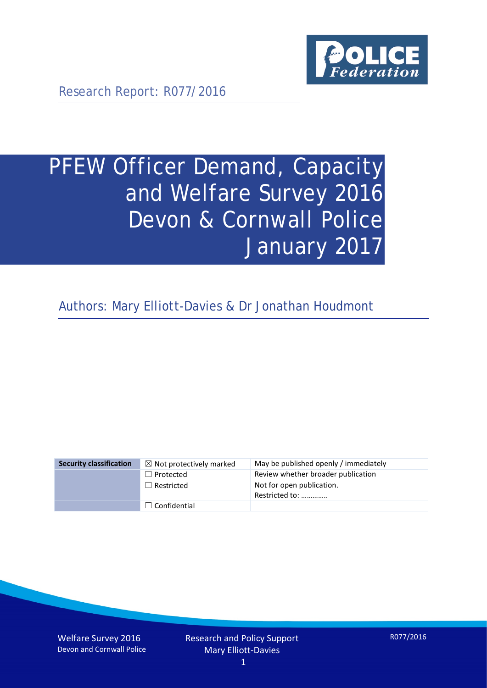

Research Report: R077/2016

# PFEW Officer Demand, Capacity and Welfare Survey 2016 Devon & Cornwall Police January 2017

Authors: Mary Elliott-Davies & Dr Jonathan Houdmont

| <b>Security classification</b> | $\boxtimes$ Not protectively marked | May be published openly / immediately       |
|--------------------------------|-------------------------------------|---------------------------------------------|
|                                | $\Box$ Protected                    | Review whether broader publication          |
|                                | $\Box$ Restricted                   | Not for open publication.<br>Restricted to: |
|                                | $\Box$ Confidential                 |                                             |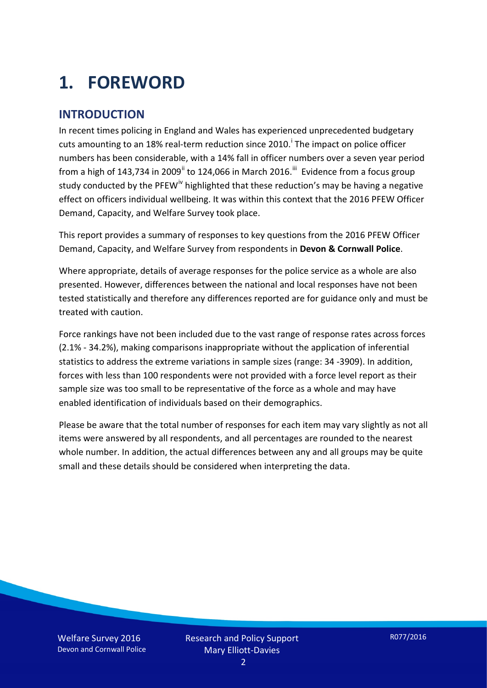# **1. FOREWORD**

#### **INTRODUCTION**

In recent times policing in England and Wales has experienced unprecedented budgetary cuts amount[i](#page-15-0)ng to an 18% real-term reduction since 2010.<sup>1</sup> The impact on police officer numbers has been considerable, with a 14% fall in officer numbers over a seven year period from a high of 143,734 in 2009<sup>[ii](#page-15-1)</sup> to 124,066 in March 2016.<sup>[iii](#page-15-2)</sup> Evidence from a focus group study conducted by the PFEW<sup>[iv](#page-15-3)</sup> highlighted that these reduction's may be having a negative effect on officers individual wellbeing. It was within this context that the 2016 PFEW Officer Demand, Capacity, and Welfare Survey took place.

This report provides a summary of responses to key questions from the 2016 PFEW Officer Demand, Capacity, and Welfare Survey from respondents in **Devon & Cornwall Police**.

Where appropriate, details of average responses for the police service as a whole are also presented. However, differences between the national and local responses have not been tested statistically and therefore any differences reported are for guidance only and must be treated with caution.

Force rankings have not been included due to the vast range of response rates across forces (2.1% - 34.2%), making comparisons inappropriate without the application of inferential statistics to address the extreme variations in sample sizes (range: 34 -3909). In addition, forces with less than 100 respondents were not provided with a force level report as their sample size was too small to be representative of the force as a whole and may have enabled identification of individuals based on their demographics.

Please be aware that the total number of responses for each item may vary slightly as not all items were answered by all respondents, and all percentages are rounded to the nearest whole number. In addition, the actual differences between any and all groups may be quite small and these details should be considered when interpreting the data.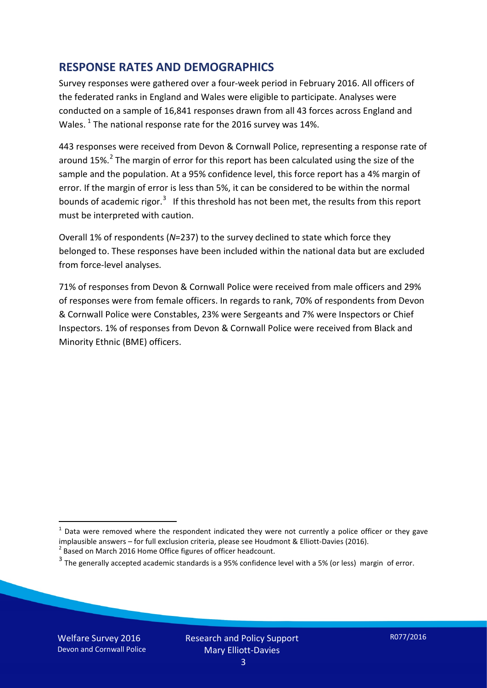#### **RESPONSE RATES AND DEMOGRAPHICS**

Survey responses were gathered over a four-week period in February 2016. All officers of the federated ranks in England and Wales were eligible to participate. Analyses were conducted on a sample of 16,841 responses drawn from all 43 forces across England and Wales.  $^1$  $^1$  The national response rate for the 2016 survey was 14%.

443 responses were received from Devon & Cornwall Police, representing a response rate of around 15%.<sup>[2](#page-2-1)</sup> The margin of error for this report has been calculated using the size of the sample and the population. At a 95% confidence level, this force report has a 4% margin of error. If the margin of error is less than 5%, it can be considered to be within the normal bounds of academic rigor.<sup>[3](#page-2-2)</sup> If this threshold has not been met, the results from this report must be interpreted with caution.

Overall 1% of respondents (*N*=237) to the survey declined to state which force they belonged to. These responses have been included within the national data but are excluded from force-level analyses.

71% of responses from Devon & Cornwall Police were received from male officers and 29% of responses were from female officers. In regards to rank, 70% of respondents from Devon & Cornwall Police were Constables, 23% were Sergeants and 7% were Inspectors or Chief Inspectors. 1% of responses from Devon & Cornwall Police were received from Black and Minority Ethnic (BME) officers.

-

<span id="page-2-0"></span> $1$  Data were removed where the respondent indicated they were not currently a police officer or they gave implausible answers – for full exclusion criteria, please see Houdmont & Elliott-Davies (2016).<br><sup>2</sup> Based on March 2016 Home Office figures of officer headcount.

<span id="page-2-1"></span>

<span id="page-2-2"></span> $3$  The generally accepted academic standards is a 95% confidence level with a 5% (or less) margin of error.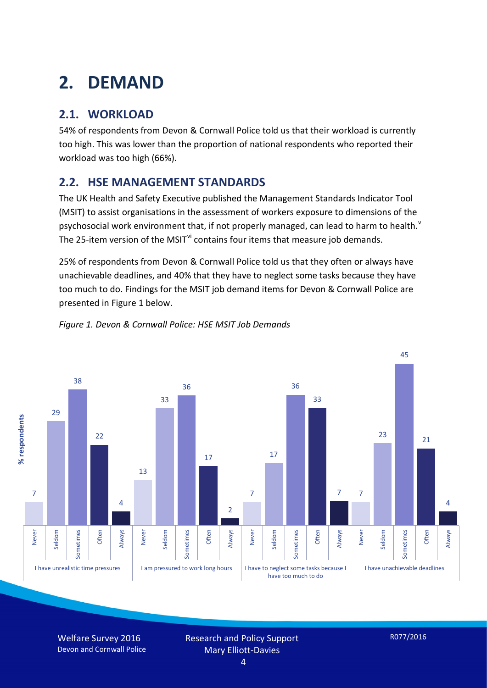# **2. DEMAND**

### **2.1. WORKLOAD**

54% of respondents from Devon & Cornwall Police told us that their workload is currently too high. This was lower than the proportion of national respondents who reported their workload was too high (66%).

#### **2.2. HSE MANAGEMENT STANDARDS**

The UK Health and Safety Executive published the Management Standards Indicator Tool (MSIT) to assist organisations in the assessment of workers exposure to dimensions of the psychosocial work en[v](#page-15-4)ironment that, if not properly managed, can lead to harm to health.<sup>v</sup> The 25-item version of the MSIT<sup>[vi](#page-15-5)</sup> contains four items that measure job demands.

25% of respondents from Devon & Cornwall Police told us that they often or always have unachievable deadlines, and 40% that they have to neglect some tasks because they have too much to do. Findings for the MSIT job demand items for Devon & Cornwall Police are presented in Figure 1 below.



#### *Figure 1. Devon & Cornwall Police: HSE MSIT Job Demands*

Welfare Survey 2016 Devon and Cornwall Police Research and Policy Support Mary Elliott-Davies

R077/2016

4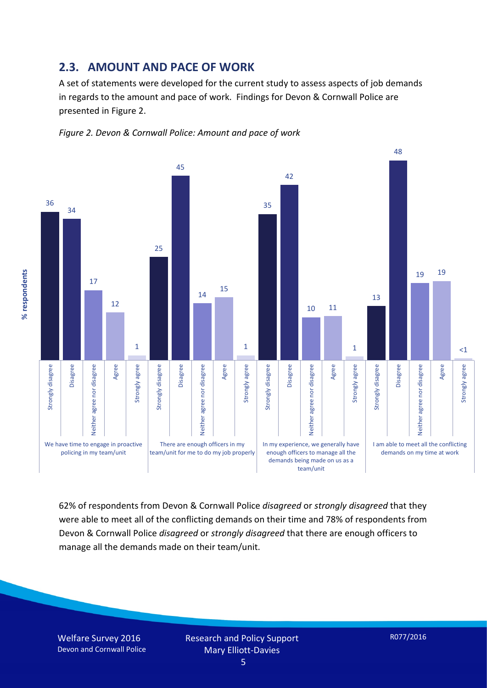#### **2.3. AMOUNT AND PACE OF WORK**

A set of statements were developed for the current study to assess aspects of job demands in regards to the amount and pace of work. Findings for Devon & Cornwall Police are presented in Figure 2.





62% of respondents from Devon & Cornwall Police *disagreed* or *strongly disagreed* that they were able to meet all of the conflicting demands on their time and 78% of respondents from Devon & Cornwall Police *disagreed* or *strongly disagreed* that there are enough officers to manage all the demands made on their team/unit.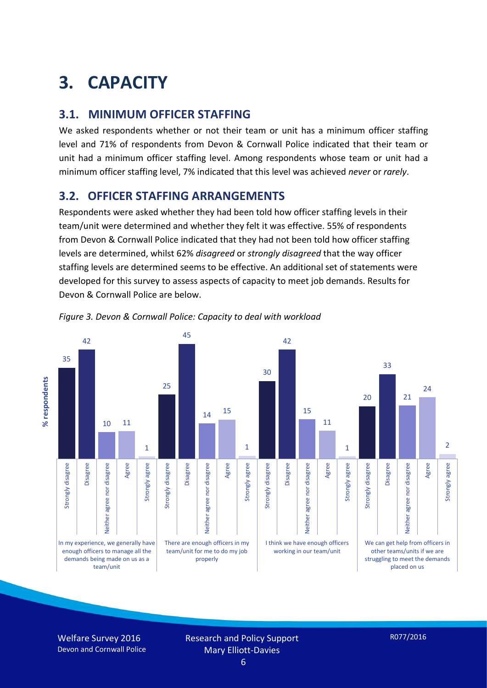# **3. CAPACITY**

#### **3.1. MINIMUM OFFICER STAFFING**

We asked respondents whether or not their team or unit has a minimum officer staffing level and 71% of respondents from Devon & Cornwall Police indicated that their team or unit had a minimum officer staffing level. Among respondents whose team or unit had a minimum officer staffing level, 7% indicated that this level was achieved *never* or *rarely*.

#### **3.2. OFFICER STAFFING ARRANGEMENTS**

Respondents were asked whether they had been told how officer staffing levels in their team/unit were determined and whether they felt it was effective. 55% of respondents from Devon & Cornwall Police indicated that they had not been told how officer staffing levels are determined, whilst 62% *disagreed* or *strongly disagreed* that the way officer staffing levels are determined seems to be effective. An additional set of statements were developed for this survey to assess aspects of capacity to meet job demands. Results for Devon & Cornwall Police are below.



*Figure 3. Devon & Cornwall Police: Capacity to deal with workload*

Welfare Survey 2016 Devon and Cornwall Police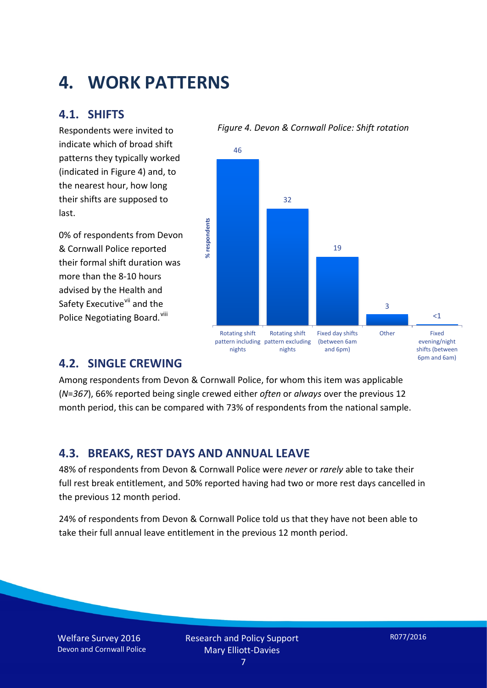## **4. WORK PATTERNS**

#### **4.1. SHIFTS**

Respondents were invited to indicate which of broad shift patterns they typically worked (indicated in Figure 4) and, to the nearest hour, how long their shifts are supposed to last.

0% of respondents from Devon & Cornwall Police reported their formal shift duration was more than the 8-10 hours advised by the Health and Safety Executive<sup>[vii](#page-15-6)</sup> and the Police Negotiating Board. Vill





#### **4.2. SINGLE CREWING**

Among respondents from Devon & Cornwall Police, for whom this item was applicable (*N*=*367*), 66% reported being single crewed either *often* or *always* over the previous 12 month period, this can be compared with 73% of respondents from the national sample.

#### **4.3. BREAKS, REST DAYS AND ANNUAL LEAVE**

48% of respondents from Devon & Cornwall Police were *never* or *rarely* able to take their full rest break entitlement, and 50% reported having had two or more rest days cancelled in the previous 12 month period.

24% of respondents from Devon & Cornwall Police told us that they have not been able to take their full annual leave entitlement in the previous 12 month period.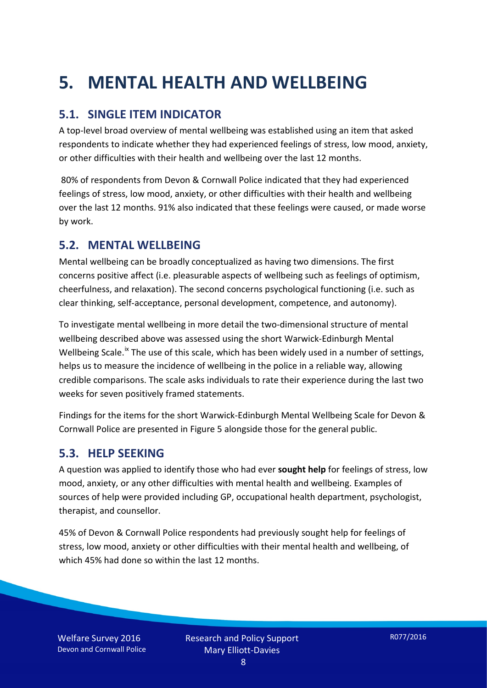# **5. MENTAL HEALTH AND WELLBEING**

#### **5.1. SINGLE ITEM INDICATOR**

A top-level broad overview of mental wellbeing was established using an item that asked respondents to indicate whether they had experienced feelings of stress, low mood, anxiety, or other difficulties with their health and wellbeing over the last 12 months.

80% of respondents from Devon & Cornwall Police indicated that they had experienced feelings of stress, low mood, anxiety, or other difficulties with their health and wellbeing over the last 12 months. 91% also indicated that these feelings were caused, or made worse by work.

#### **5.2. MENTAL WELLBEING**

Mental wellbeing can be broadly conceptualized as having two dimensions. The first concerns positive affect (i.e. pleasurable aspects of wellbeing such as feelings of optimism, cheerfulness, and relaxation). The second concerns psychological functioning (i.e. such as clear thinking, self-acceptance, personal development, competence, and autonomy).

To investigate mental wellbeing in more detail the two-dimensional structure of mental wellbeing described above was assessed using the short Warwick-Edinburgh Mental Wellbeing Scale.<sup>[ix](#page-15-8)</sup> The use of this scale, which has been widely used in a number of settings, helps us to measure the incidence of wellbeing in the police in a reliable way, allowing credible comparisons. The scale asks individuals to rate their experience during the last two weeks for seven positively framed statements.

Findings for the items for the short Warwick-Edinburgh Mental Wellbeing Scale for Devon & Cornwall Police are presented in Figure 5 alongside those for the general public.

#### **5.3. HELP SEEKING**

A question was applied to identify those who had ever **sought help** for feelings of stress, low mood, anxiety, or any other difficulties with mental health and wellbeing. Examples of sources of help were provided including GP, occupational health department, psychologist, therapist, and counsellor.

45% of Devon & Cornwall Police respondents had previously sought help for feelings of stress, low mood, anxiety or other difficulties with their mental health and wellbeing, of which 45% had done so within the last 12 months.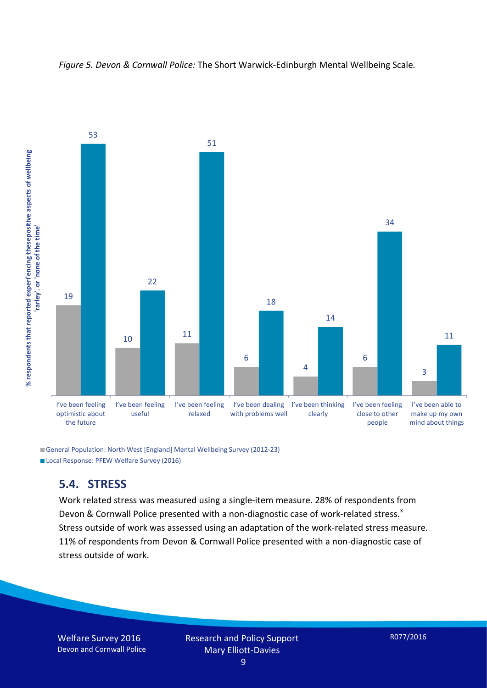



General Population: North West [England] Mental Wellbeing Survey (2012-23) Local Response: PFEW Welfare Survey (2016)

#### **5.4. STRESS**

Work related stress was measured using a single-item measure. 28% of respondents from Devon & Cornwall Police presented with a non-diagnostic case of work-related stress.<sup>[x](#page-15-9)</sup> Stress outside of work was assessed using an adaptation of the work-related stress measure. 11% of respondents from Devon & Cornwall Police presented with a non-diagnostic case of stress outside of work.

Welfare Survey 2016 Devon and Cornwall Police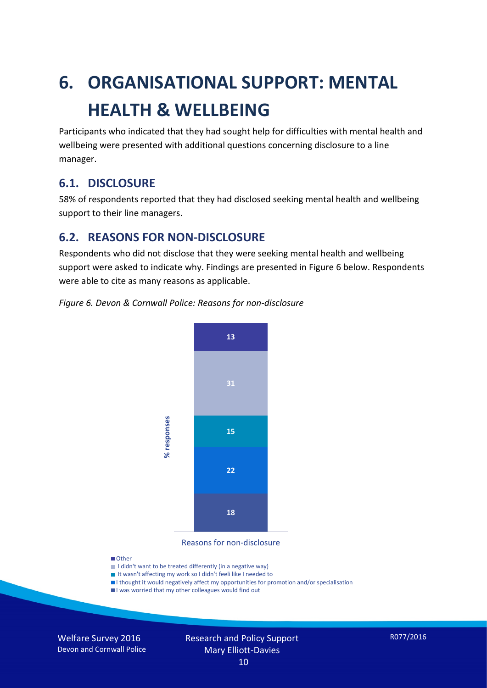# **6. ORGANISATIONAL SUPPORT: MENTAL HEALTH & WELLBEING**

Participants who indicated that they had sought help for difficulties with mental health and wellbeing were presented with additional questions concerning disclosure to a line manager.

#### **6.1. DISCLOSURE**

58% of respondents reported that they had disclosed seeking mental health and wellbeing support to their line managers.

#### **6.2. REASONS FOR NON-DISCLOSURE**

Respondents who did not disclose that they were seeking mental health and wellbeing support were asked to indicate why. Findings are presented in Figure 6 below. Respondents were able to cite as many reasons as applicable.





Reasons for non-disclosure

#### **D**Other

- I didn't want to be treated differently (in a negative way)
- I It wasn't affecting my work so I didn't feeli like I needed to
- I thought it would negatively affect my opportunities for promotion and/or specialisation
- I was worried that my other colleagues would find out

Welfare Survey 2016 Devon and Cornwall Police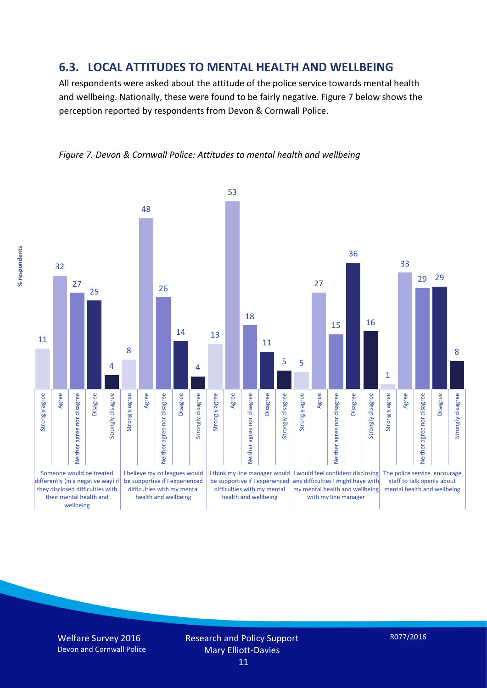#### **6.3. LOCAL ATTITUDES TO MENTAL HEALTH AND WELLBEING**

All respondents were asked about the attitude of the police service towards mental health and wellbeing. Nationally, these were found to be fairly negative. Figure 7 below shows the perception reported by respondents from Devon & Cornwall Police.





% respondents **% respondents**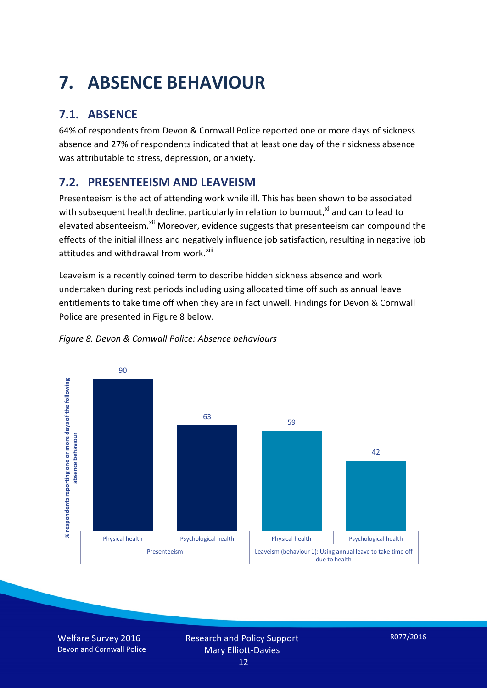# **7. ABSENCE BEHAVIOUR**

## **7.1. ABSENCE**

64% of respondents from Devon & Cornwall Police reported one or more days of sickness absence and 27% of respondents indicated that at least one day of their sickness absence was attributable to stress, depression, or anxiety.

### **7.2. PRESENTEEISM AND LEAVEISM**

Presenteeism is the act of attending work while ill. This has been shown to be associated with subsequent health decline, particularly in relation to burnout, $x_i$  and can to lead to elevated absenteeism.<sup>[xii](#page-16-1)</sup> Moreover, evidence suggests that presenteeism can compound the effects of the initial illness and negatively influence job satisfaction, resulting in negative job attitudes and withdrawal from work.<sup>[xiii](#page-16-2)</sup>

Leaveism is a recently coined term to describe hidden sickness absence and work undertaken during rest periods including using allocated time off such as annual leave entitlements to take time off when they are in fact unwell. Findings for Devon & Cornwall Police are presented in Figure 8 below.



#### *Figure 8. Devon & Cornwall Police: Absence behaviours*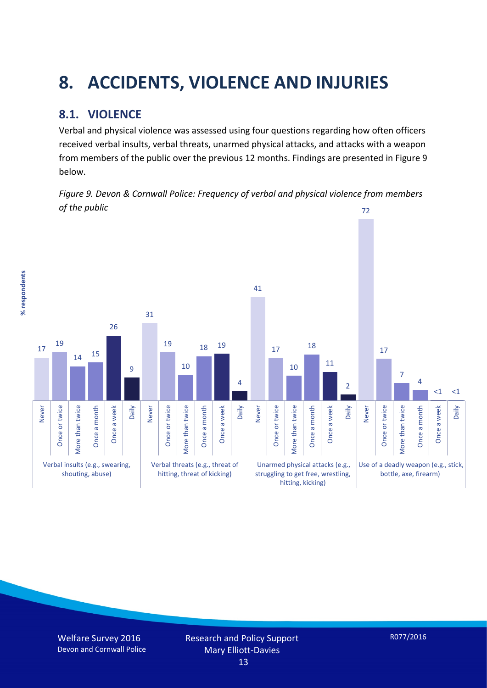# **8. ACCIDENTS, VIOLENCE AND INJURIES**

#### **8.1. VIOLENCE**

% respondents **% respondents** Verbal and physical violence was assessed using four questions regarding how often officers received verbal insults, verbal threats, unarmed physical attacks, and attacks with a weapon from members of the public over the previous 12 months. Findings are presented in Figure 9 below.

*Figure 9. Devon & Cornwall Police: Frequency of verbal and physical violence from members of the public* 72

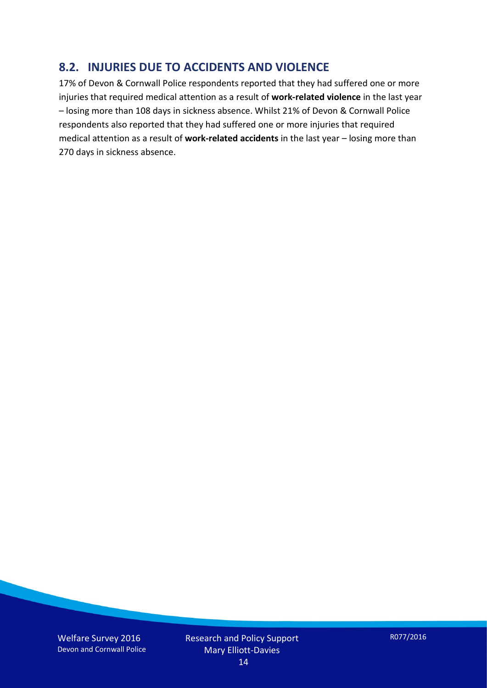#### **8.2. INJURIES DUE TO ACCIDENTS AND VIOLENCE**

17% of Devon & Cornwall Police respondents reported that they had suffered one or more injuries that required medical attention as a result of **work-related violence** in the last year – losing more than 108 days in sickness absence. Whilst 21% of Devon & Cornwall Police respondents also reported that they had suffered one or more injuries that required medical attention as a result of **work-related accidents** in the last year – losing more than 270 days in sickness absence.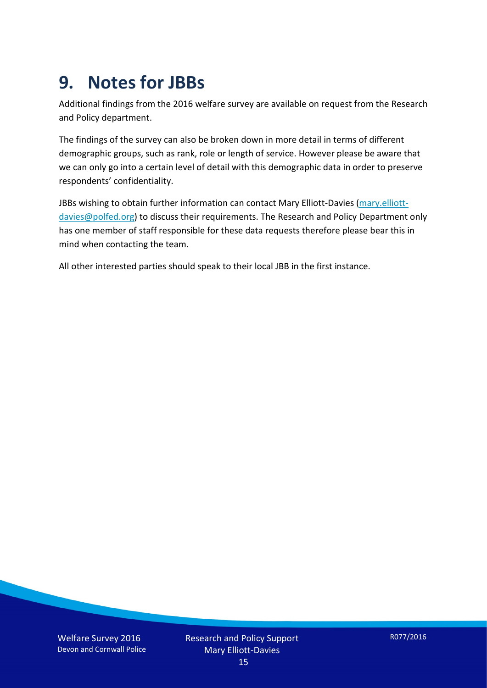## **9. Notes for JBBs**

Additional findings from the 2016 welfare survey are available on request from the Research and Policy department.

The findings of the survey can also be broken down in more detail in terms of different demographic groups, such as rank, role or length of service. However please be aware that we can only go into a certain level of detail with this demographic data in order to preserve respondents' confidentiality.

JBBs wishing to obtain further information can contact Mary Elliott-Davies [\(mary.elliott](mailto:mary.elliott-davies@polfed.org)[davies@polfed.org\)](mailto:mary.elliott-davies@polfed.org) to discuss their requirements. The Research and Policy Department only has one member of staff responsible for these data requests therefore please bear this in mind when contacting the team.

All other interested parties should speak to their local JBB in the first instance.

Welfare Survey 2016 Devon and Cornwall Police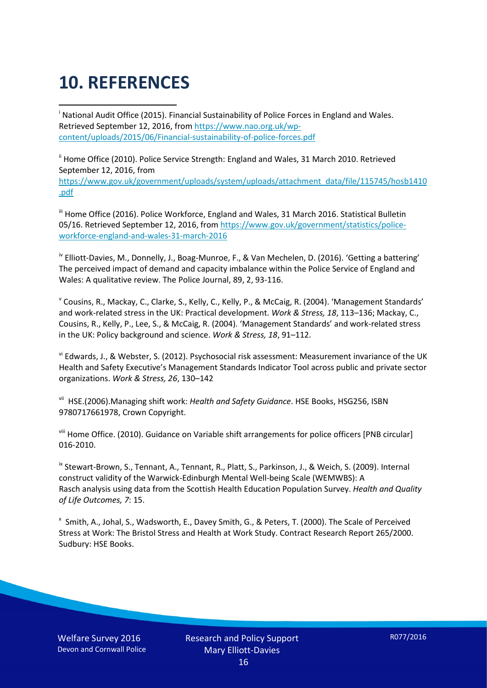# **10. REFERENCES**

<span id="page-15-0"></span>i National Audit Office (2015). Financial Sustainability of Police Forces in England and Wales. Retrieved September 12, 2016, fro[m https://www.nao.org.uk/wp](https://www.nao.org.uk/wp-content/uploads/2015/06/Financial-sustainability-of-police-forces.pdf)[content/uploads/2015/06/Financial-sustainability-of-police-forces.pdf](https://www.nao.org.uk/wp-content/uploads/2015/06/Financial-sustainability-of-police-forces.pdf)

<span id="page-15-1"></span><sup>ii</sup> Home Office (2010). Police Service Strength: England and Wales, 31 March 2010. Retrieved September 12, 2016, from [https://www.gov.uk/government/uploads/system/uploads/attachment\\_data/file/115745/hosb1410](https://www.gov.uk/government/uploads/system/uploads/attachment_data/file/115745/hosb1410.pdf) [.pdf](https://www.gov.uk/government/uploads/system/uploads/attachment_data/file/115745/hosb1410.pdf)

<span id="page-15-2"></span><sup>iii</sup> Home Office (2016). Police Workforce, England and Wales, 31 March 2016. Statistical Bulletin 05/16. Retrieved September 12, 2016, fro[m https://www.gov.uk/government/statistics/police](https://www.gov.uk/government/statistics/police-workforce-england-and-wales-31-march-2016)[workforce-england-and-wales-31-march-2016](https://www.gov.uk/government/statistics/police-workforce-england-and-wales-31-march-2016)

<span id="page-15-3"></span><sup>iv</sup> Elliott-Davies, M., Donnelly, J., Boag-Munroe, F., & Van Mechelen, D. (2016). 'Getting a battering' The perceived impact of demand and capacity imbalance within the Police Service of England and Wales: A qualitative review. The Police Journal, 89, 2, 93-116.

<span id="page-15-4"></span><sup>v</sup> Cousins, R., Mackay, C., Clarke, S., Kelly, C., Kelly, P., & McCaig, R. (2004). 'Management Standards' and work-related stress in the UK: Practical development. *Work & Stress, 18*, 113–136; Mackay, C., Cousins, R., Kelly, P., Lee, S., & McCaig, R. (2004). 'Management Standards' and work-related stress in the UK: Policy background and science. *Work & Stress, 18*, 91–112.

<span id="page-15-5"></span>vi Edwards, J., & Webster, S. (2012). Psychosocial risk assessment: Measurement invariance of the UK Health and Safety Executive's Management Standards Indicator Tool across public and private sector organizations. *Work & Stress, 26*, 130–142

<span id="page-15-6"></span>vii HSE.(2006).Managing shift work: *Health and Safety Guidance*. HSE Books, HSG256, ISBN 9780717661978, Crown Copyright.

<span id="page-15-7"></span>viii Home Office. (2010). Guidance on Variable shift arrangements for police officers [PNB circular] 016-2010.

<span id="page-15-8"></span><sup>ix</sup> Stewart-Brown, S., Tennant, A., Tennant, R., Platt, S., Parkinson, J., & Weich, S. (2009). Internal construct validity of the Warwick-Edinburgh Mental Well-being Scale (WEMWBS): A Rasch analysis using data from the Scottish Health Education Population Survey. *Health and Quality of Life Outcomes, 7*: 15.

<span id="page-15-9"></span>x Smith, A., Johal, S., Wadsworth, E., Davey Smith, G., & Peters, T. (2000). The Scale of Perceived Stress at Work: The Bristol Stress and Health at Work Study. Contract Research Report 265/2000. Sudbury: HSE Books.